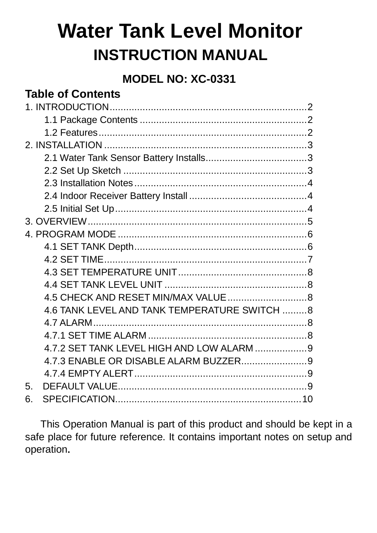# **Water Tank Level Monitor INSTRUCTION MANUAL**

# **MODEL NO: XC-0331**

# **Table of Contents**

|    | 4.6 TANK LEVEL AND TANK TEMPERATURE SWITCH 8 |  |
|----|----------------------------------------------|--|
|    |                                              |  |
|    |                                              |  |
|    |                                              |  |
|    |                                              |  |
|    |                                              |  |
| 5. |                                              |  |
| 6. |                                              |  |

 This Operation Manual is part of this product and should be kept in a safe place for future reference. It contains important notes on setup and operation.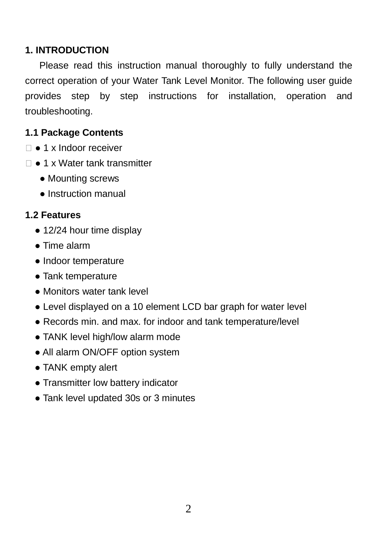### **1. INTRODUCTION**

 Please read this instruction manual thoroughly to fully understand the correct operation of your Water Tank Level Monitor. The following user guide provides step by step instructions for installation, operation and troubleshooting.

### **1.1 Package Contents**

- □ 1 x Indoor receiver
- □ 1 x Water tank transmitter
	- Mounting screws
	- Instruction manual

### **1.2 Features**

- 12/24 hour time display
- Time alarm
- Indoor temperature
- Tank temperature
- Monitors water tank level
- Level displayed on a 10 element LCD bar graph for water level
- Records min. and max. for indoor and tank temperature/level
- TANK level high/low alarm mode
- All alarm ON/OFF option system
- TANK empty alert
- Transmitter low battery indicator
- Tank level updated 30s or 3 minutes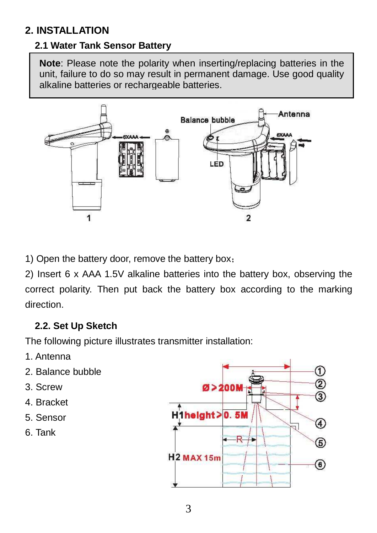# **2. INSTALLATION**

### **2.1 Water Tank Sensor Battery**

**Note**: Please note the polarity when inserting/replacing batteries in the unit, failure to do so may result in permanent damage. Use good quality alkaline batteries or rechargeable batteries.



1) Open the battery door, remove the battery box;

2) Insert 6 x AAA 1.5V alkaline batteries into the battery box, observing the correct polarity. Then put back the battery box according to the marking direction.

### **2.2. Set Up Sketch**

The following picture illustrates transmitter installation:

- 1. Antenna
- 2. Balance bubble
- 3. Screw
- 4. Bracket
- 5. Sensor
- 6. Tank

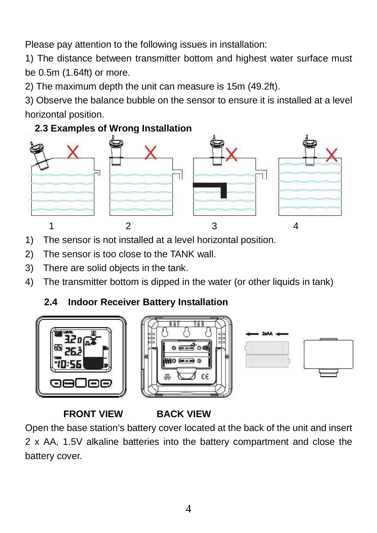Please pay attention to the following issues in installation:

1) The distance between transmitter bottom and highest water surface must be 0.5m (1.64ft) or more.

2) The maximum depth the unit can measure is 15m (49.2ft).

3) Observe the balance bubble on the sensor to ensure it is installed at a level horizontal position.

### **2.3 Examples of Wrong Installation**



- 1) The sensor is not installed at a level horizontal position.
- 2) The sensor is too close to the TANK wall.
- 3) There are solid objects in the tank.
- 4) The transmitter bottom is dipped in the water (or other liquids in tank)

# **2.4 Indoor Receiver Battery Installation**



# **FRONT VIEW BACK VIEW**

Open the base station's battery cover located at the back of the unit and insert 2 x AA, 1.5V alkaline batteries into the battery compartment and close the battery cover.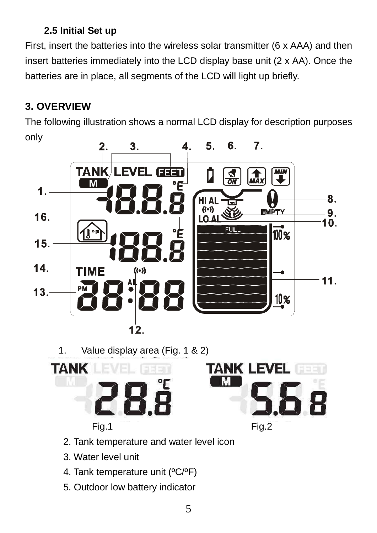# **2.5 Initial Set up**

First, insert the batteries into the wireless solar transmitter (6 x AAA) and then insert batteries immediately into the LCD display base unit (2 x AA). Once the batteries are in place, all segments of the LCD will light up briefly.

# **3. OVERVIEW**

The following illustration shows a normal LCD display for description purposes only



1. Value display area (Fig. 1 & 2)



- 2. Tank temperature and water level icon
- 3. Water level unit
- 4. Tank temperature unit (ºC/ºF)
- 5. Outdoor low battery indicator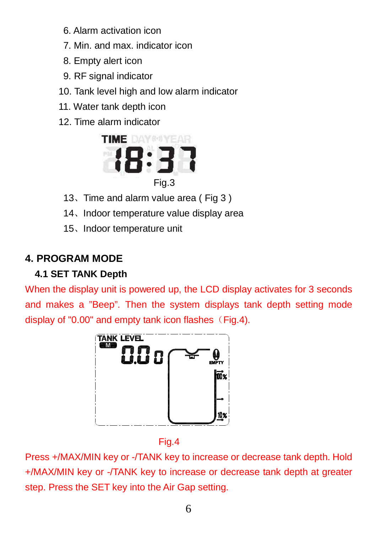- 6. Alarm activation icon
- 7. Min. and max. indicator icon
- 8. Empty alert icon
- 9. RF signal indicator
- 10. Tank level high and low alarm indicator
- 11. Water tank depth icon
- 12. Time alarm indicator



- 13、Time and alarm value area ( Fig 3 )
- 14、Indoor temperature value display area
- 15、Indoor temperature unit

# **4. PROGRAM MODE**

# **4.1 SET TANK Depth**

When the display unit is powered up, the LCD display activates for 3 seconds and makes a "Beep". Then the system displays tank depth setting mode display of "0.00" and empty tank icon flashes  $(Fig.4)$ .



Fig.4

Press +/MAX/MIN key or -/TANK key to increase or decrease tank depth. Hold +/MAX/MIN key or -/TANK key to increase or decrease tank depth at greater step. Press the SET key into the Air Gap setting.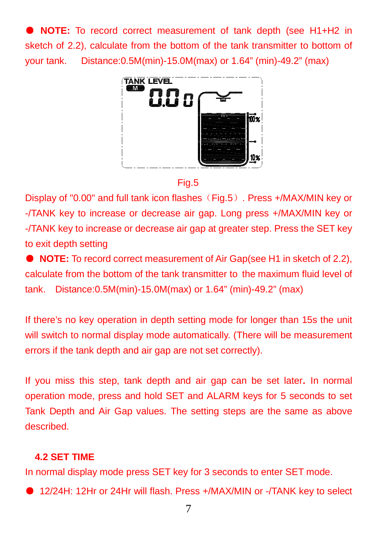● **NOTE:** To record correct measurement of tank depth (see H1+H2 in sketch of 2.2), calculate from the bottom of the tank transmitter to bottom of your tank. Distance:0.5M(min)-15.0M(max) or 1.64" (min)-49.2" (max)



Fig.5

Display of "0.00" and full tank icon flashes (Fig.5). Press +/MAX/MIN key or -/TANK key to increase or decrease air gap. Long press +/MAX/MIN key or -/TANK key to increase or decrease air gap at greater step. Press the SET key to exit depth setting

● **NOTE:** To record correct measurement of Air Gap(see H1 in sketch of 2.2), calculate from the bottom of the tank transmitter to the maximum fluid level of tank. Distance:0.5M(min)-15.0M(max) or 1.64" (min)-49.2" (max)

If there's no key operation in depth setting mode for longer than 15s the unit will switch to normal display mode automatically. (There will be measurement errors if the tank depth and air gap are not set correctly).

If you miss this step, tank depth and air gap can be set later. In normal operation mode, press and hold SET and ALARM keys for 5 seconds to set Tank Depth and Air Gap values. The setting steps are the same as above described.

### **4.2 SET TIME**

In normal display mode press SET key for 3 seconds to enter SET mode.

● 12/24H: 12Hr or 24Hr will flash. Press +/MAX/MIN or -/TANK key to select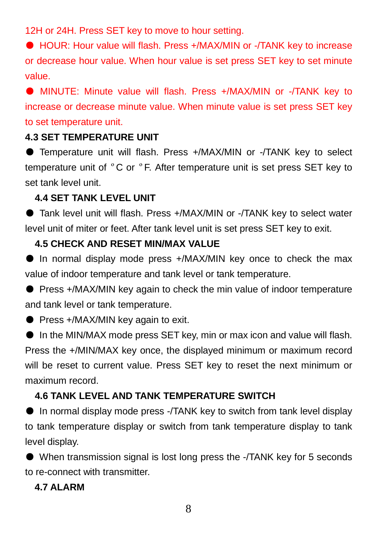12H or 24H. Press SET key to move to hour setting.

● HOUR: Hour value will flash. Press +/MAX/MIN or -/TANK key to increase or decrease hour value. When hour value is set press SET key to set minute value.

● MINUTE: Minute value will flash. Press +/MAX/MIN or -/TANK key to increase or decrease minute value. When minute value is set press SET key to set temperature unit.

### **4.3 SET TEMPERATURE UNIT**

● Temperature unit will flash. Press +/MAX/MIN or -/TANK key to select temperature unit of ºC or ºF. After temperature unit is set press SET key to set tank level unit.

### **4.4 SET TANK LEVEL UNIT**

● Tank level unit will flash. Press +/MAX/MIN or -/TANK key to select water level unit of miter or feet. After tank level unit is set press SET key to exit.

#### **4.5 CHECK AND RESET MIN/MAX VALUE**

● In normal display mode press +/MAX/MIN key once to check the max value of indoor temperature and tank level or tank temperature.

● Press +/MAX/MIN key again to check the min value of indoor temperature and tank level or tank temperature.

● Press +/MAX/MIN key again to exit.

● In the MIN/MAX mode press SET key, min or max icon and value will flash. Press the +/MIN/MAX key once, the displayed minimum or maximum record will be reset to current value. Press SET key to reset the next minimum or maximum record.

#### **4.6 TANK LEVEL AND TANK TEMPERATURE SWITCH**

● In normal display mode press -/TANK key to switch from tank level display to tank temperature display or switch from tank temperature display to tank level display.

● When transmission signal is lost long press the -/TANK key for 5 seconds to re-connect with transmitter.

#### **4.7 ALARM**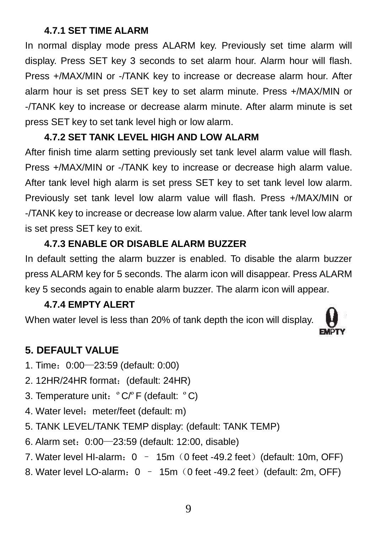### **4.7.1 SET TIME ALARM**

In normal display mode press ALARM key. Previously set time alarm will display. Press SET key 3 seconds to set alarm hour. Alarm hour will flash. Press +/MAX/MIN or -/TANK key to increase or decrease alarm hour. After alarm hour is set press SET key to set alarm minute. Press +/MAX/MIN or -/TANK key to increase or decrease alarm minute. After alarm minute is set press SET key to set tank level high or low alarm.

#### **4.7.2 SET TANK LEVEL HIGH AND LOW ALARM**

After finish time alarm setting previously set tank level alarm value will flash. Press +/MAX/MIN or -/TANK key to increase or decrease high alarm value. After tank level high alarm is set press SET key to set tank level low alarm. Previously set tank level low alarm value will flash. Press +/MAX/MIN or -/TANK key to increase or decrease low alarm value. After tank level low alarm is set press SET key to exit.

#### **4.7.3 ENABLE OR DISABLE ALARM BUZZER**

In default setting the alarm buzzer is enabled. To disable the alarm buzzer press ALARM key for 5 seconds. The alarm icon will disappear. Press ALARM key 5 seconds again to enable alarm buzzer. The alarm icon will appear.

### **4.7.4 EMPTY ALERT**

When water level is less than 20% of tank depth the icon will display.



### **5. DEFAULT VALUE**

- 1. Time:0:00—23:59 (default: 0:00)
- 2. 12HR/24HR format: (default: 24HR)
- 3. Temperature unit:ºC/ºF (default: ºC)
- 4. Water level: meter/feet (default: m)
- 5. TANK LEVEL/TANK TEMP display: (default: TANK TEMP)
- 6. Alarm set:0:00—23:59 (default: 12:00, disable)
- 7. Water level HI-alarm:  $0 15m$  (0 feet -49.2 feet) (default: 10m, OFF)
- 8. Water level LO-alarm: 0 15m (0 feet -49.2 feet) (default: 2m, OFF)